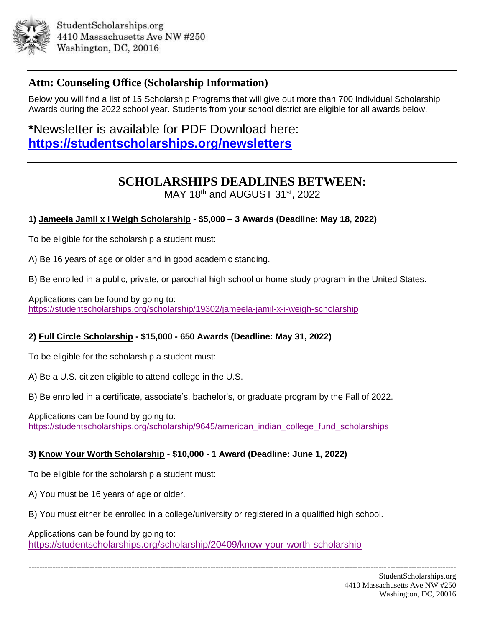

## **Attn: Counseling Office (Scholarship Information)**

Below you will find a list of 15 Scholarship Programs that will give out more than 700 Individual Scholarship Awards during the 2022 school year. Students from your school district are eligible for all awards below.

**\***Newsletter is available for PDF Download here: **<https://studentscholarships.org/newsletters>**

# **SCHOLARSHIPS DEADLINES BETWEEN:**

MAY 18th and AUGUST 31st, 2022

## **1) Jameela Jamil x I Weigh Scholarship - \$5,000 – 3 Awards (Deadline: May 18, 2022)**

To be eligible for the scholarship a student must:

A) Be 16 years of age or older and in good academic standing.

B) Be enrolled in a public, private, or parochial high school or home study program in the United States.

Applications can be found by going to: <https://studentscholarships.org/scholarship/19302/jameela-jamil-x-i-weigh-scholarship>

## **2) Full Circle Scholarship - \$15,000 - 650 Awards (Deadline: May 31, 2022)**

To be eligible for the scholarship a student must:

A) Be a U.S. citizen eligible to attend college in the U.S.

B) Be enrolled in a certificate, associate's, bachelor's, or graduate program by the Fall of 2022.

Applications can be found by going to: [https://studentscholarships.org/scholarship/9645/american\\_indian\\_college\\_fund\\_scholarships](https://studentscholarships.org/scholarship/9645/american_indian_college_fund_scholarships)

## **3) Know Your Worth Scholarship - \$10,000 - 1 Award (Deadline: June 1, 2022)**

To be eligible for the scholarship a student must:

A) You must be 16 years of age or older.

B) You must either be enrolled in a college/university or registered in a qualified high school.

------------------------------------------------------------------------------------------------------------------------------------------------------------------

Applications can be found by going to: <https://studentscholarships.org/scholarship/20409/know-your-worth-scholarship>

> StudentScholarships.org 4410 Massachusetts Ave NW #250 Washington, DC, 20016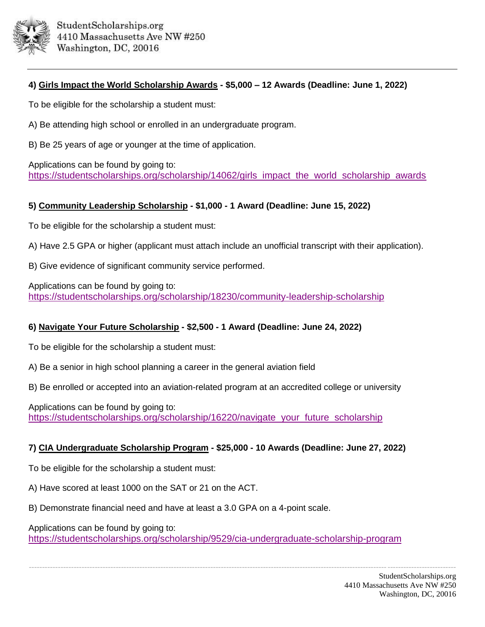

## **4) Girls Impact the World Scholarship Awards - \$5,000 – 12 Awards (Deadline: June 1, 2022)**

To be eligible for the scholarship a student must:

A) Be attending high school or enrolled in an undergraduate program.

B) Be 25 years of age or younger at the time of application.

Applications can be found by going to: [https://studentscholarships.org/scholarship/14062/girls\\_impact\\_the\\_world\\_scholarship\\_awards](https://studentscholarships.org/scholarship/14062/girls_impact_the_world_scholarship_awards)

## **5) Community Leadership Scholarship - \$1,000 - 1 Award (Deadline: June 15, 2022)**

To be eligible for the scholarship a student must:

A) Have 2.5 GPA or higher (applicant must attach include an unofficial transcript with their application).

B) Give evidence of significant community service performed.

Applications can be found by going to: <https://studentscholarships.org/scholarship/18230/community-leadership-scholarship>

## **6) Navigate Your Future Scholarship - \$2,500 - 1 Award (Deadline: June 24, 2022)**

To be eligible for the scholarship a student must:

A) Be a senior in high school planning a career in the general aviation field

B) Be enrolled or accepted into an aviation-related program at an accredited college or university

Applications can be found by going to: [https://studentscholarships.org/scholarship/16220/navigate\\_your\\_future\\_scholarship](https://studentscholarships.org/scholarship/16220/navigate_your_future_scholarship)

## **7) CIA Undergraduate Scholarship Program - \$25,000 - 10 Awards (Deadline: June 27, 2022)**

To be eligible for the scholarship a student must:

A) Have scored at least 1000 on the SAT or 21 on the ACT.

B) Demonstrate financial need and have at least a 3.0 GPA on a 4-point scale.

Applications can be found by going to:

<https://studentscholarships.org/scholarship/9529/cia-undergraduate-scholarship-program>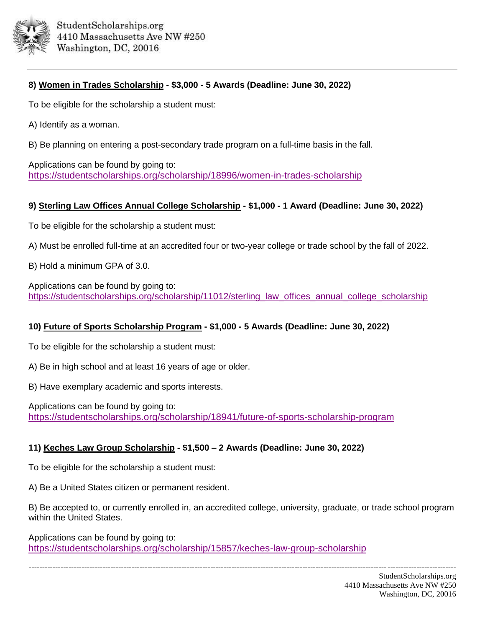

## **8) Women in Trades Scholarship - \$3,000 - 5 Awards (Deadline: June 30, 2022)**

To be eligible for the scholarship a student must:

- A) Identify as a woman.
- B) Be planning on entering a post-secondary trade program on a full-time basis in the fall.

Applications can be found by going to: <https://studentscholarships.org/scholarship/18996/women-in-trades-scholarship>

## **9) Sterling Law Offices Annual College Scholarship - \$1,000 - 1 Award (Deadline: June 30, 2022)**

To be eligible for the scholarship a student must:

- A) Must be enrolled full-time at an accredited four or two-year college or trade school by the fall of 2022.
- B) Hold a minimum GPA of 3.0.

Applications can be found by going to: [https://studentscholarships.org/scholarship/11012/sterling\\_law\\_offices\\_annual\\_college\\_scholarship](https://studentscholarships.org/scholarship/11012/sterling_law_offices_annual_college_scholarship_scholarship.php)

## **10) Future of Sports Scholarship Program - \$1,000 - 5 Awards (Deadline: June 30, 2022)**

To be eligible for the scholarship a student must:

A) Be in high school and at least 16 years of age or older.

B) Have exemplary academic and sports interests.

Applications can be found by going to: <https://studentscholarships.org/scholarship/18941/future-of-sports-scholarship-program>

#### **11) Keches Law Group Scholarship - \$1,500 – 2 Awards (Deadline: June 30, 2022)**

To be eligible for the scholarship a student must:

A) Be a United States citizen or permanent resident.

B) Be accepted to, or currently enrolled in, an accredited college, university, graduate, or trade school program within the United States.

------------------------------------------------------------------------------------------------------------------------------------------------------------------

Applications can be found by going to: <https://studentscholarships.org/scholarship/15857/keches-law-group-scholarship>